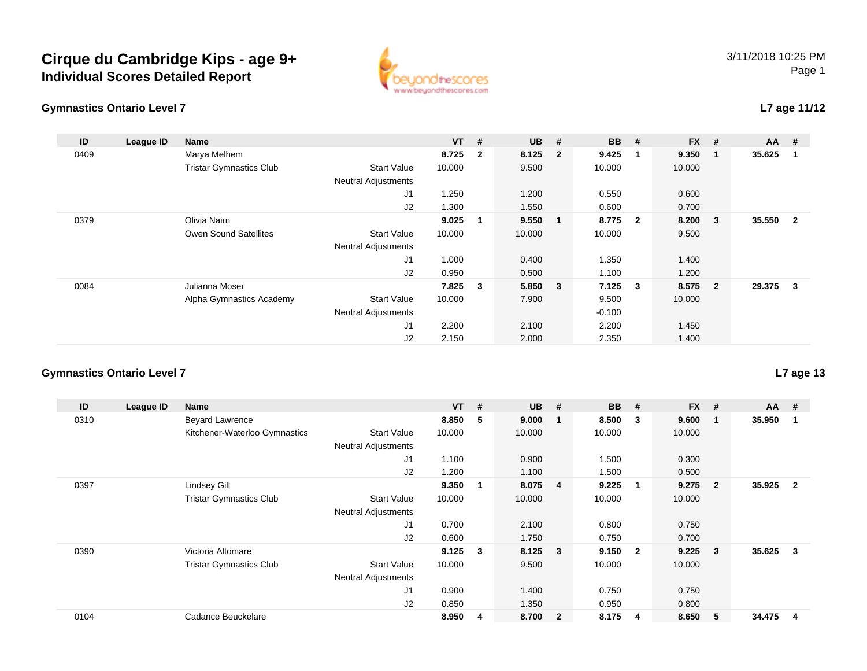## **Cirque du Cambridge Kips - age 9+Individual Scores Detailed Report**





### **L7 age 11/12**

| ID   | League ID | <b>Name</b>                    |                            | <b>VT</b> | #                       | $UB$ #  |                         | <b>BB</b> | #                       | $FX$ # |                         | AA     | #                       |
|------|-----------|--------------------------------|----------------------------|-----------|-------------------------|---------|-------------------------|-----------|-------------------------|--------|-------------------------|--------|-------------------------|
| 0409 |           | Marya Melhem                   |                            | 8.725     | $\overline{\mathbf{2}}$ | 8.125   | $\overline{\mathbf{2}}$ | 9.425     |                         | 9.350  | - 1                     | 35.625 | -1                      |
|      |           | <b>Tristar Gymnastics Club</b> | <b>Start Value</b>         | 10.000    |                         | 9.500   |                         | 10.000    |                         | 10.000 |                         |        |                         |
|      |           |                                | <b>Neutral Adjustments</b> |           |                         |         |                         |           |                         |        |                         |        |                         |
|      |           |                                | J1                         | 1.250     |                         | 1.200   |                         | 0.550     |                         | 0.600  |                         |        |                         |
|      |           |                                | J2                         | 1.300     |                         | 1.550   |                         | 0.600     |                         | 0.700  |                         |        |                         |
| 0379 |           | Olivia Nairn                   |                            | 9.025     | 1                       | 9.550   | 1                       | 8.775     | $\overline{\mathbf{2}}$ | 8.200  | $\overline{\mathbf{3}}$ | 35.550 | $\overline{\mathbf{2}}$ |
|      |           | <b>Owen Sound Satellites</b>   | <b>Start Value</b>         | 10.000    |                         | 10.000  |                         | 10.000    |                         | 9.500  |                         |        |                         |
|      |           |                                | <b>Neutral Adjustments</b> |           |                         |         |                         |           |                         |        |                         |        |                         |
|      |           |                                | J1                         | 1.000     |                         | 0.400   |                         | 1.350     |                         | 1.400  |                         |        |                         |
|      |           |                                | J2                         | 0.950     |                         | 0.500   |                         | 1.100     |                         | 1.200  |                         |        |                         |
| 0084 |           | Julianna Moser                 |                            | 7.825     | $\mathbf{3}$            | 5.850 3 |                         | 7.125     | $\overline{\mathbf{3}}$ | 8.575  | $\overline{\mathbf{2}}$ | 29.375 | $\mathbf{3}$            |
|      |           | Alpha Gymnastics Academy       | <b>Start Value</b>         | 10.000    |                         | 7.900   |                         | 9.500     |                         | 10.000 |                         |        |                         |
|      |           |                                | <b>Neutral Adjustments</b> |           |                         |         |                         | $-0.100$  |                         |        |                         |        |                         |
|      |           |                                | J1                         | 2.200     |                         | 2.100   |                         | 2.200     |                         | 1.450  |                         |        |                         |
|      |           |                                | J2                         | 2.150     |                         | 2.000   |                         | 2.350     |                         | 1.400  |                         |        |                         |

#### **Gymnastics Ontario Level 7**

| ID   | League ID | <b>Name</b>                    |                            | <b>VT</b> | # | <b>UB</b> | #                       | <b>BB</b> | #                       | <b>FX</b> | #              | $AA$ # |                |
|------|-----------|--------------------------------|----------------------------|-----------|---|-----------|-------------------------|-----------|-------------------------|-----------|----------------|--------|----------------|
| 0310 |           | <b>Beyard Lawrence</b>         |                            | 8.850     | 5 | 9.000     | $\overline{\mathbf{1}}$ | 8.500     | 3                       | 9.600     | $\mathbf 1$    | 35.950 | 1              |
|      |           | Kitchener-Waterloo Gymnastics  | <b>Start Value</b>         | 10.000    |   | 10.000    |                         | 10.000    |                         | 10.000    |                |        |                |
|      |           |                                | <b>Neutral Adjustments</b> |           |   |           |                         |           |                         |           |                |        |                |
|      |           |                                | J1                         | 1.100     |   | 0.900     |                         | 1.500     |                         | 0.300     |                |        |                |
|      |           |                                | J <sub>2</sub>             | 1.200     |   | 1.100     |                         | 1.500     |                         | 0.500     |                |        |                |
| 0397 |           | Lindsey Gill                   |                            | 9.350     |   | 8.075     | $\overline{4}$          | 9.225     | -1                      | 9.275     | $\overline{2}$ | 35.925 | $\overline{2}$ |
|      |           | <b>Tristar Gymnastics Club</b> | <b>Start Value</b>         | 10.000    |   | 10.000    |                         | 10.000    |                         | 10.000    |                |        |                |
|      |           |                                | <b>Neutral Adjustments</b> |           |   |           |                         |           |                         |           |                |        |                |
|      |           |                                | J1                         | 0.700     |   | 2.100     |                         | 0.800     |                         | 0.750     |                |        |                |
|      |           |                                | J2                         | 0.600     |   | 1.750     |                         | 0.750     |                         | 0.700     |                |        |                |
| 0390 |           | Victoria Altomare              |                            | 9.125     | 3 | 8.125     | $\overline{\mathbf{3}}$ | 9.150     | $\overline{\mathbf{2}}$ | 9.225     | 3              | 35.625 | 3              |
|      |           | <b>Tristar Gymnastics Club</b> | Start Value                | 10.000    |   | 9.500     |                         | 10.000    |                         | 10.000    |                |        |                |
|      |           |                                | <b>Neutral Adjustments</b> |           |   |           |                         |           |                         |           |                |        |                |
|      |           |                                | J <sub>1</sub>             | 0.900     |   | 1.400     |                         | 0.750     |                         | 0.750     |                |        |                |
|      |           |                                | J <sub>2</sub>             | 0.850     |   | 1.350     |                         | 0.950     |                         | 0.800     |                |        |                |
| 0104 |           | Cadance Beuckelare             |                            | 8.950     | 4 | 8.700     | $\overline{\mathbf{2}}$ | 8.175     | -4                      | 8.650     | 5              | 34.475 | 4              |

**L7 age 13**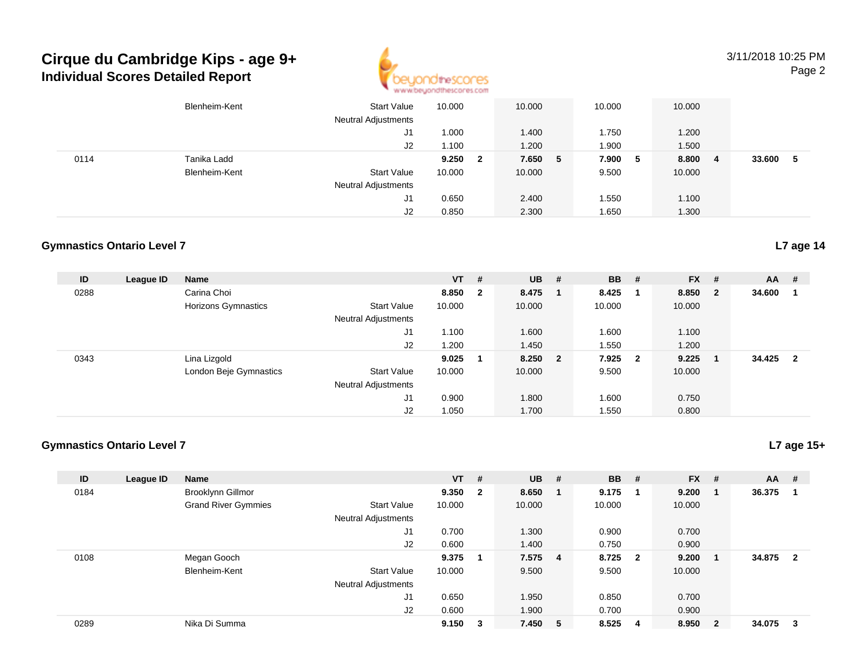## **Cirque du Cambridge Kips - age 9+Individual Scores Detailed Report**



3/11/2018 10:25 PMPage 2

|      | Blenheim-Kent | <b>Start Value</b><br><b>Neutral Adjustments</b> | 10.000 |                         | 10.000  | 10.000 |     | 10.000 |   |        |   |
|------|---------------|--------------------------------------------------|--------|-------------------------|---------|--------|-----|--------|---|--------|---|
|      |               | J1                                               | .000   |                         | 1.400   | 1.750  |     | 1.200  |   |        |   |
|      |               | J2                                               | 1.100  |                         | 1.200   | 1.900  |     | 1.500  |   |        |   |
| 0114 | Tanika Ladd   |                                                  | 9.250  | $\overline{\mathbf{2}}$ | 7.650 5 | 7.900  | - 5 | 8.800  | 4 | 33.600 | 5 |
|      | Blenheim-Kent | <b>Start Value</b>                               | 10.000 |                         | 10.000  | 9.500  |     | 10.000 |   |        |   |
|      |               | <b>Neutral Adjustments</b>                       |        |                         |         |        |     |        |   |        |   |
|      |               | J1                                               | 0.650  |                         | 2.400   | 1.550  |     | 1.100  |   |        |   |
|      |               | J2                                               | 0.850  |                         | 2.300   | 1.650  |     | 1.300  |   |        |   |

#### **Gymnastics Ontario Level 7**

| ID   | League ID | <b>Name</b>            |                            | $VT$ # |                         | <b>UB</b> # | <b>BB</b> | #                       | <b>FX</b> | #            | $AA$ # |                |
|------|-----------|------------------------|----------------------------|--------|-------------------------|-------------|-----------|-------------------------|-----------|--------------|--------|----------------|
| 0288 |           | Carina Choi            |                            | 8.850  | $\overline{\mathbf{2}}$ | 8.475       | 8.425     |                         | 8.850     | $\mathbf{2}$ | 34.600 |                |
|      |           | Horizons Gymnastics    | <b>Start Value</b>         | 10.000 |                         | 10.000      | 10.000    |                         | 10.000    |              |        |                |
|      |           |                        | <b>Neutral Adjustments</b> |        |                         |             |           |                         |           |              |        |                |
|      |           |                        | J1                         | 1.100  |                         | 1.600       | 1.600     |                         | 1.100     |              |        |                |
|      |           |                        | J2                         | 1.200  |                         | 1.450       | 1.550     |                         | 1.200     |              |        |                |
| 0343 |           | Lina Lizgold           |                            | 9.025  | -1                      | 8.250 2     | 7.925     | $\overline{\mathbf{2}}$ | 9.225     |              | 34.425 | $\overline{2}$ |
|      |           | London Beje Gymnastics | <b>Start Value</b>         | 10.000 |                         | 10.000      | 9.500     |                         | 10.000    |              |        |                |
|      |           |                        | <b>Neutral Adjustments</b> |        |                         |             |           |                         |           |              |        |                |
|      |           |                        | J1                         | 0.900  |                         | 1.800       | 1.600     |                         | 0.750     |              |        |                |
|      |           |                        | J2                         | 1.050  |                         | 1.700       | 1.550     |                         | 0.800     |              |        |                |

#### **Gymnastics Ontario Level 7**

**ID League ID Name VT # UB # BB # FX # AA #** 0184 Brooklynn Gillmor **9.350 <sup>2</sup> 8.650 <sup>1</sup> 9.175 <sup>1</sup> 9.200 <sup>1</sup> 36.375 <sup>1</sup>** Grand River Gymmies Start Valuee 10.000 10.000 10.000 10.000 Neutral Adjustments J1 0.700 1.300 0.900 0.700 J2 0.600 1.400 0.750 0.900 0108 Megan Gooch **9.375 <sup>1</sup> 7.575 <sup>4</sup> 8.725 <sup>2</sup> 9.200 <sup>1</sup> 34.875 <sup>2</sup>** Blenheim-Kent Start Valuee 10.000 9.500 9.500 9.500 10.000 Neutral Adjustments J1 0.650 1.950 0.850 0.700 J2 0.600 1.900 0.700 0.900 0289Nika Di Summa **9.150 <sup>3</sup> 7.450 <sup>5</sup> 8.525 <sup>4</sup> 8.950 <sup>2</sup> 34.075 <sup>3</sup>**

**L7 age 15+**

**L7 age 14**